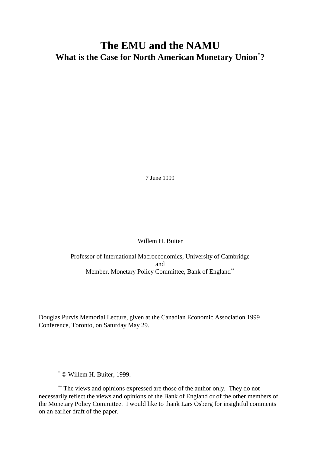# **The EMU and the NAMU What is the Case for North American Monetary Union\* ?**

7 June 1999

Willem H. Buiter

Professor of International Macroeconomics, University of Cambridge and Member, Monetary Policy Committee, Bank of England\*\*

Douglas Purvis Memorial Lecture, given at the Canadian Economic Association 1999 Conference, Toronto, on Saturday May 29.

\* © Willem H. Buiter, 1999.

\*\*\* The views and opinions expressed are those of the author only. They do not necessarily reflect the views and opinions of the Bank of England or of the other members of the Monetary Policy Committee. I would like to thank Lars Osberg for insightful comments on an earlier draft of the paper.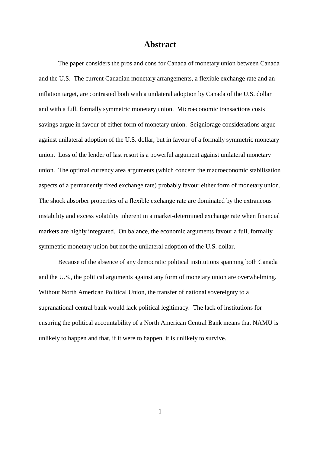### **Abstract**

The paper considers the pros and cons for Canada of monetary union between Canada and the U.S. The current Canadian monetary arrangements, a flexible exchange rate and an inflation target, are contrasted both with a unilateral adoption by Canada of the U.S. dollar and with a full, formally symmetric monetary union. Microeconomic transactions costs savings argue in favour of either form of monetary union. Seigniorage considerations argue against unilateral adoption of the U.S. dollar, but in favour of a formally symmetric monetary union. Loss of the lender of last resort is a powerful argument against unilateral monetary union. The optimal currency area arguments (which concern the macroeconomic stabilisation aspects of a permanently fixed exchange rate) probably favour either form of monetary union. The shock absorber properties of a flexible exchange rate are dominated by the extraneous instability and excess volatility inherent in a market-determined exchange rate when financial markets are highly integrated. On balance, the economic arguments favour a full, formally symmetric monetary union but not the unilateral adoption of the U.S. dollar.

Because of the absence of any democratic political institutions spanning both Canada and the U.S., the political arguments against any form of monetary union are overwhelming. Without North American Political Union, the transfer of national sovereignty to a supranational central bank would lack political legitimacy. The lack of institutions for ensuring the political accountability of a North American Central Bank means that NAMU is unlikely to happen and that, if it were to happen, it is unlikely to survive.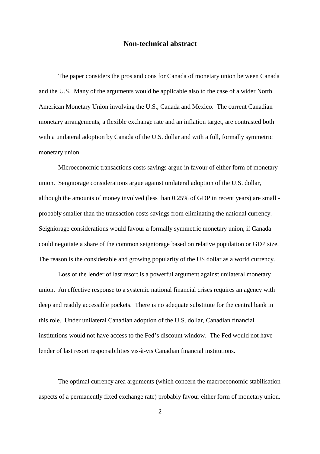### **Non-technical abstract**

The paper considers the pros and cons for Canada of monetary union between Canada and the U.S. Many of the arguments would be applicable also to the case of a wider North American Monetary Union involving the U.S., Canada and Mexico. The current Canadian monetary arrangements, a flexible exchange rate and an inflation target, are contrasted both with a unilateral adoption by Canada of the U.S. dollar and with a full, formally symmetric monetary union.

Microeconomic transactions costs savings argue in favour of either form of monetary union. Seigniorage considerations argue against unilateral adoption of the U.S. dollar, although the amounts of money involved (less than 0.25% of GDP in recent years) are small probably smaller than the transaction costs savings from eliminating the national currency. Seigniorage considerations would favour a formally symmetric monetary union, if Canada could negotiate a share of the common seigniorage based on relative population or GDP size. The reason is the considerable and growing popularity of the US dollar as a world currency.

Loss of the lender of last resort is a powerful argument against unilateral monetary union. An effective response to a systemic national financial crises requires an agency with deep and readily accessible pockets. There is no adequate substitute for the central bank in this role. Under unilateral Canadian adoption of the U.S. dollar, Canadian financial institutions would not have access to the Fed's discount window. The Fed would not have lender of last resort responsibilities vis-à-vis Canadian financial institutions.

The optimal currency area arguments (which concern the macroeconomic stabilisation aspects of a permanently fixed exchange rate) probably favour either form of monetary union.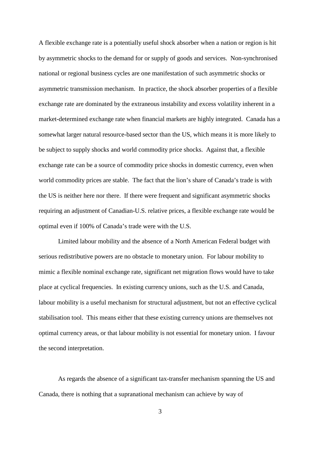A flexible exchange rate is a potentially useful shock absorber when a nation or region is hit by asymmetric shocks to the demand for or supply of goods and services. Non-synchronised national or regional business cycles are one manifestation of such asymmetric shocks or asymmetric transmission mechanism. In practice, the shock absorber properties of a flexible exchange rate are dominated by the extraneous instability and excess volatility inherent in a market-determined exchange rate when financial markets are highly integrated. Canada has a somewhat larger natural resource-based sector than the US, which means it is more likely to be subject to supply shocks and world commodity price shocks. Against that, a flexible exchange rate can be a source of commodity price shocks in domestic currency, even when world commodity prices are stable. The fact that the lion's share of Canada's trade is with the US is neither here nor there. If there were frequent and significant asymmetric shocks requiring an adjustment of Canadian-U.S. relative prices, a flexible exchange rate would be optimal even if 100% of Canada's trade were with the U.S.

Limited labour mobility and the absence of a North American Federal budget with serious redistributive powers are no obstacle to monetary union. For labour mobility to mimic a flexible nominal exchange rate, significant net migration flows would have to take place at cyclical frequencies. In existing currency unions, such as the U.S. and Canada, labour mobility is a useful mechanism for structural adjustment, but not an effective cyclical stabilisation tool. This means either that these existing currency unions are themselves not optimal currency areas, or that labour mobility is not essential for monetary union. I favour the second interpretation.

As regards the absence of a significant tax-transfer mechanism spanning the US and Canada, there is nothing that a supranational mechanism can achieve by way of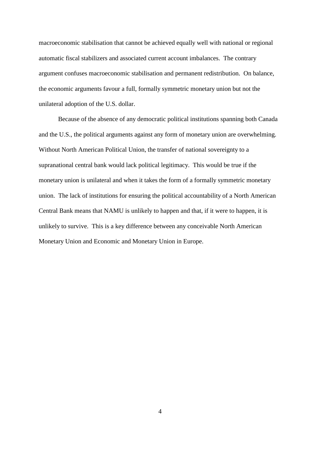macroeconomic stabilisation that cannot be achieved equally well with national or regional automatic fiscal stabilizers and associated current account imbalances. The contrary argument confuses macroeconomic stabilisation and permanent redistribution. On balance, the economic arguments favour a full, formally symmetric monetary union but not the unilateral adoption of the U.S. dollar.

Because of the absence of any democratic political institutions spanning both Canada and the U.S., the political arguments against any form of monetary union are overwhelming. Without North American Political Union, the transfer of national sovereignty to a supranational central bank would lack political legitimacy. This would be true if the monetary union is unilateral and when it takes the form of a formally symmetric monetary union. The lack of institutions for ensuring the political accountability of a North American Central Bank means that NAMU is unlikely to happen and that, if it were to happen, it is unlikely to survive. This is a key difference between any conceivable North American Monetary Union and Economic and Monetary Union in Europe.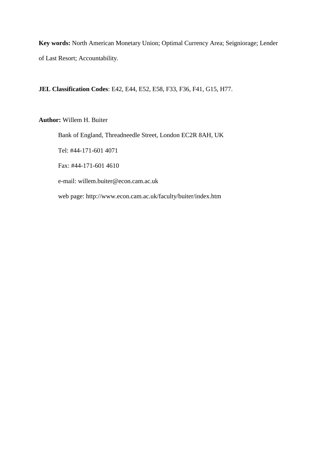**Key words:** North American Monetary Union; Optimal Currency Area; Seigniorage; Lender of Last Resort; Accountability.

**JEL Classification Codes**: E42, E44, E52, E58, F33, F36, F41, G15, H77.

**Author:** Willem H. Buiter

Bank of England, Threadneedle Street, London EC2R 8AH, UK Tel: #44-171-601 4071 Fax: #44-171-601 4610 e-mail: willem.buiter@econ.cam.ac.uk web page: http://www.econ.cam.ac.uk/faculty/buiter/index.htm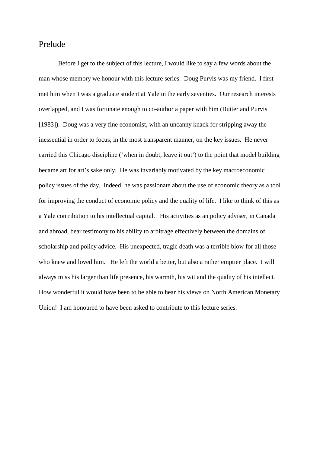### Prelude

Before I get to the subject of this lecture, I would like to say a few words about the man whose memory we honour with this lecture series. Doug Purvis was my friend. I first met him when I was a graduate student at Yale in the early seventies. Our research interests overlapped, and I was fortunate enough to co-author a paper with him (Buiter and Purvis [1983]). Doug was a very fine economist, with an uncanny knack for stripping away the inessential in order to focus, in the most transparent manner, on the key issues. He never carried this Chicago discipline ('when in doubt, leave it out') to the point that model building became art for art's sake only. He was invariably motivated by the key macroeconomic policy issues of the day. Indeed, he was passionate about the use of economic theory as a tool for improving the conduct of economic policy and the quality of life. I like to think of this as a Yale contribution to his intellectual capital. His activities as an policy adviser, in Canada and abroad, bear testimony to his ability to arbitrage effectively between the domains of scholarship and policy advice. His unexpected, tragic death was a terrible blow for all those who knew and loved him. He left the world a better, but also a rather emptier place. I will always miss his larger than life presence, his warmth, his wit and the quality of his intellect. How wonderful it would have been to be able to hear his views on North American Monetary Union! I am honoured to have been asked to contribute to this lecture series.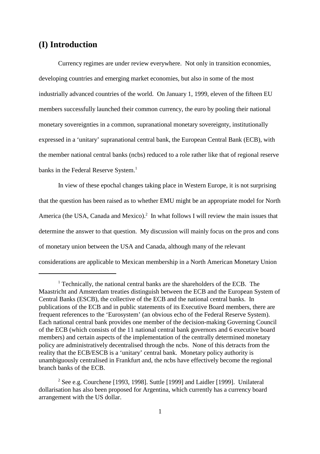## **(I) Introduction**

Currency regimes are under review everywhere. Not only in transition economies, developing countries and emerging market economies, but also in some of the most industrially advanced countries of the world. On January 1, 1999, eleven of the fifteen EU members successfully launched their common currency, the euro by pooling their national monetary sovereignties in a common, supranational monetary sovereignty, institutionally expressed in a 'unitary' supranational central bank, the European Central Bank (ECB), with the member national central banks (ncbs) reduced to a role rather like that of regional reserve banks in the Federal Reserve System.<sup>1</sup>

In view of these epochal changes taking place in Western Europe, it is not surprising that the question has been raised as to whether EMU might be an appropriate model for North America (the USA, Canada and Mexico).<sup>2</sup> In what follows I will review the main issues that determine the answer to that question. My discussion will mainly focus on the pros and cons of monetary union between the USA and Canada, although many of the relevant considerations are applicable to Mexican membership in a North American Monetary Union

<sup>&</sup>lt;sup>1</sup> Technically, the national central banks are the shareholders of the ECB. The Maastricht and Amsterdam treaties distinguish between the ECB and the European System of Central Banks (ESCB), the collective of the ECB and the national central banks. In publications of the ECB and in public statements of its Executive Board members, there are frequent references to the 'Eurosystem' (an obvious echo of the Federal Reserve System). Each national central bank provides one member of the decision-making Governing Council of the ECB (which consists of the 11 national central bank governors and 6 executive board members) and certain aspects of the implementation of the centrally determined monetary policy are administratively decentralised through the ncbs. None of this detracts from the reality that the ECB/ESCB is a 'unitary' central bank. Monetary policy authority is unambiguously centralised in Frankfurt and, the ncbs have effectively become the regional branch banks of the ECB.

<sup>&</sup>lt;sup>2</sup> See e.g. Courchene [1993, 1998]. Suttle [1999] and Laidler [1999]. Unilateral dollarisation has also been proposed for Argentina, which currently has a currency board arrangement with the US dollar.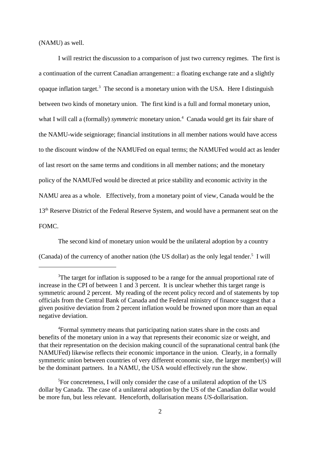(NAMU) as well.

I will restrict the discussion to a comparison of just two currency regimes. The first is a continuation of the current Canadian arrangement:: a floating exchange rate and a slightly opaque inflation target.<sup>3</sup> The second is a monetary union with the USA. Here I distinguish between two kinds of monetary union. The first kind is a full and formal monetary union, what I will call a (formally) *symmetric* monetary union.<sup>4</sup> Canada would get its fair share of the NAMU-wide seigniorage; financial institutions in all member nations would have access to the discount window of the NAMUFed on equal terms; the NAMUFed would act as lender of last resort on the same terms and conditions in all member nations; and the monetary policy of the NAMUFed would be directed at price stability and economic activity in the NAMU area as a whole. Effectively, from a monetary point of view, Canada would be the 13<sup>th</sup> Reserve District of the Federal Reserve System, and would have a permanent seat on the FOMC.

The second kind of monetary union would be the unilateral adoption by a country (Canada) of the currency of another nation (the US dollar) as the only legal tender.<sup>5</sup> I will

<sup>&</sup>lt;sup>3</sup>The target for inflation is supposed to be a range for the annual proportional rate of increase in the CPI of between 1 and 3 percent. It is unclear whether this target range is symmetric around 2 percent. My reading of the recent policy record and of statements by top officials from the Central Bank of Canada and the Federal ministry of finance suggest that a given positive deviation from 2 percent inflation would be frowned upon more than an equal negative deviation.

<sup>4</sup> Formal symmetry means that participating nation states share in the costs and benefits of the monetary union in a way that represents their economic size or weight, and that their representation on the decision making council of the supranational central bank (the NAMUFed) likewise reflects their economic importance in the union. Clearly, in a formally symmetric union between countries of very different economic size, the larger member(s) will be the dominant partners. In a NAMU, the USA would effectively run the show.

<sup>5</sup> For concreteness, I will only consider the case of a unilateral adoption of the US dollar by Canada. The case of a unilateral adoption by the US of the Canadian dollar would be more fun, but less relevant. Henceforth, dollarisation means *US*-dollarisation.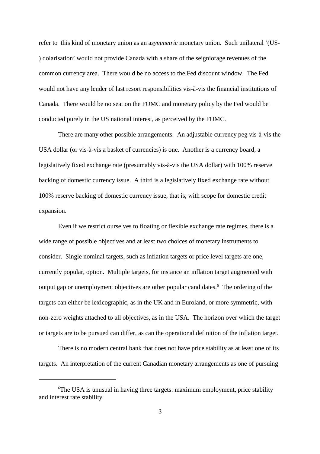refer to this kind of monetary union as an a*symmetric* monetary union. Such unilateral '(US- ) dolarisation' would not provide Canada with a share of the seigniorage revenues of the common currency area. There would be no access to the Fed discount window. The Fed would not have any lender of last resort responsibilities vis-à-vis the financial institutions of Canada. There would be no seat on the FOMC and monetary policy by the Fed would be conducted purely in the US national interest, as perceived by the FOMC.

There are many other possible arrangements. An adjustable currency peg vis-à-vis the USA dollar (or vis-à-vis a basket of currencies) is one. Another is a currency board, a legislatively fixed exchange rate (presumably vis-à-vis the USA dollar) with 100% reserve backing of domestic currency issue. A third is a legislatively fixed exchange rate without 100% reserve backing of domestic currency issue, that is, with scope for domestic credit expansion.

Even if we restrict ourselves to floating or flexible exchange rate regimes, there is a wide range of possible objectives and at least two choices of monetary instruments to consider. Single nominal targets, such as inflation targets or price level targets are one, currently popular, option. Multiple targets, for instance an inflation target augmented with output gap or unemployment objectives are other popular candidates.<sup>6</sup> The ordering of the targets can either be lexicographic, as in the UK and in Euroland, or more symmetric, with non-zero weights attached to all objectives, as in the USA. The horizon over which the target or targets are to be pursued can differ, as can the operational definition of the inflation target.

There is no modern central bank that does not have price stability as at least one of its targets. An interpretation of the current Canadian monetary arrangements as one of pursuing

<sup>&</sup>lt;sup>6</sup>The USA is unusual in having three targets: maximum employment, price stability and interest rate stability.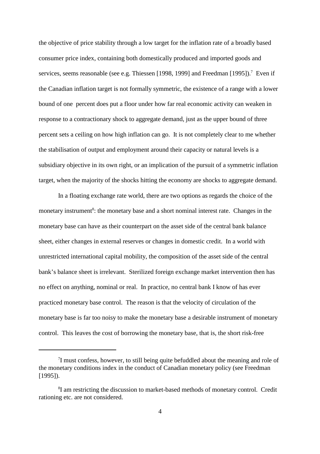the objective of price stability through a low target for the inflation rate of a broadly based consumer price index, containing both domestically produced and imported goods and services, seems reasonable (see e.g. Thiessen [1998, 1999] and Freedman [1995]).<sup>7</sup> Even if the Canadian inflation target is not formally symmetric, the existence of a range with a lower bound of one percent does put a floor under how far real economic activity can weaken in response to a contractionary shock to aggregate demand, just as the upper bound of three percent sets a ceiling on how high inflation can go. It is not completely clear to me whether the stabilisation of output and employment around their capacity or natural levels is a subsidiary objective in its own right, or an implication of the pursuit of a symmetric inflation target, when the majority of the shocks hitting the economy are shocks to aggregate demand.

In a floating exchange rate world, there are two options as regards the choice of the monetary instrument<sup>8</sup>: the monetary base and a short nominal interest rate. Changes in the monetary base can have as their counterpart on the asset side of the central bank balance sheet, either changes in external reserves or changes in domestic credit. In a world with unrestricted international capital mobility, the composition of the asset side of the central bank's balance sheet is irrelevant. Sterilized foreign exchange market intervention then has no effect on anything, nominal or real. In practice, no central bank I know of has ever practiced monetary base control. The reason is that the velocity of circulation of the monetary base is far too noisy to make the monetary base a desirable instrument of monetary control. This leaves the cost of borrowing the monetary base, that is, the short risk-free

<sup>&</sup>lt;sup>7</sup>I must confess, however, to still being quite befuddled about the meaning and role of the monetary conditions index in the conduct of Canadian monetary policy (see Freedman [1995]).

<sup>&</sup>lt;sup>8</sup>I am restricting the discussion to market-based methods of monetary control. Credit rationing etc. are not considered.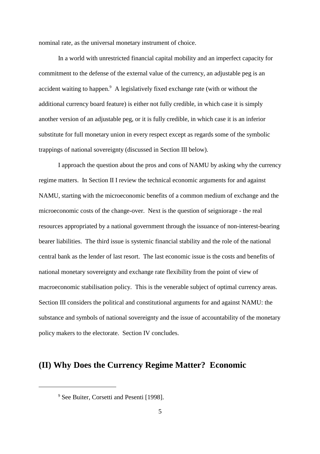nominal rate, as the universal monetary instrument of choice.

In a world with unrestricted financial capital mobility and an imperfect capacity for commitment to the defense of the external value of the currency, an adjustable peg is an accident waiting to happen.<sup>9</sup> A legislatively fixed exchange rate (with or without the additional currency board feature) is either not fully credible, in which case it is simply another version of an adjustable peg, or it is fully credible, in which case it is an inferior substitute for full monetary union in every respect except as regards some of the symbolic trappings of national sovereignty (discussed in Section III below).

I approach the question about the pros and cons of NAMU by asking why the currency regime matters. In Section II I review the technical economic arguments for and against NAMU, starting with the microeconomic benefits of a common medium of exchange and the microeconomic costs of the change-over. Next is the question of seigniorage - the real resources appropriated by a national government through the issuance of non-interest-bearing bearer liabilities. The third issue is systemic financial stability and the role of the national central bank as the lender of last resort. The last economic issue is the costs and benefits of national monetary sovereignty and exchange rate flexibility from the point of view of macroeconomic stabilisation policy. This is the venerable subject of optimal currency areas. Section III considers the political and constitutional arguments for and against NAMU: the substance and symbols of national sovereignty and the issue of accountability of the monetary policy makers to the electorate. Section IV concludes.

## **(II) Why Does the Currency Regime Matter? Economic**

<sup>&</sup>lt;sup>9</sup> See Buiter, Corsetti and Pesenti [1998].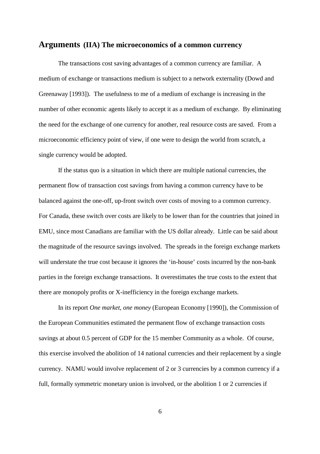#### **Arguments (IIA) The microeconomics of a common currency**

The transactions cost saving advantages of a common currency are familiar. A medium of exchange or transactions medium is subject to a network externality (Dowd and Greenaway [1993]). The usefulness to me of a medium of exchange is increasing in the number of other economic agents likely to accept it as a medium of exchange. By eliminating the need for the exchange of one currency for another, real resource costs are saved. From a microeconomic efficiency point of view, if one were to design the world from scratch, a single currency would be adopted.

If the status quo is a situation in which there are multiple national currencies, the permanent flow of transaction cost savings from having a common currency have to be balanced against the one-off, up-front switch over costs of moving to a common currency. For Canada, these switch over costs are likely to be lower than for the countries that joined in EMU, since most Canadians are familiar with the US dollar already. Little can be said about the magnitude of the resource savings involved. The spreads in the foreign exchange markets will understate the true cost because it ignores the 'in-house' costs incurred by the non-bank parties in the foreign exchange transactions. It overestimates the true costs to the extent that there are monopoly profits or X-inefficiency in the foreign exchange markets.

In its report *One market, one money* (European Economy [1990]), the Commission of the European Communities estimated the permanent flow of exchange transaction costs savings at about 0.5 percent of GDP for the 15 member Community as a whole. Of course, this exercise involved the abolition of 14 national currencies and their replacement by a single currency. NAMU would involve replacement of 2 or 3 currencies by a common currency if a full, formally symmetric monetary union is involved, or the abolition 1 or 2 currencies if

6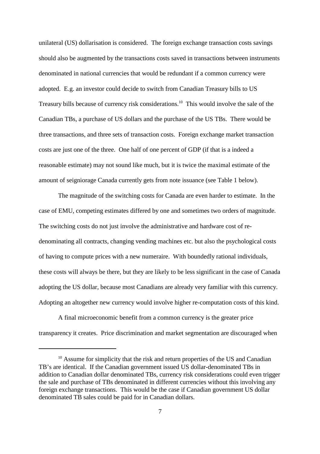unilateral (US) dollarisation is considered. The foreign exchange transaction costs savings should also be augmented by the transactions costs saved in transactions between instruments denominated in national currencies that would be redundant if a common currency were adopted. E.g. an investor could decide to switch from Canadian Treasury bills to US Treasury bills because of currency risk considerations.<sup>10</sup> This would involve the sale of the Canadian TBs, a purchase of US dollars and the purchase of the US TBs. There would be three transactions, and three sets of transaction costs. Foreign exchange market transaction costs are just one of the three. One half of one percent of GDP (if that is a indeed a reasonable estimate) may not sound like much, but it is twice the maximal estimate of the amount of seigniorage Canada currently gets from note issuance (see Table 1 below).

The magnitude of the switching costs for Canada are even harder to estimate. In the case of EMU, competing estimates differed by one and sometimes two orders of magnitude. The switching costs do not just involve the administrative and hardware cost of redenominating all contracts, changing vending machines etc. but also the psychological costs of having to compute prices with a new numeraire. With boundedly rational individuals, these costs will always be there, but they are likely to be less significant in the case of Canada adopting the US dollar, because most Canadians are already very familiar with this currency. Adopting an altogether new currency would involve higher re-computation costs of this kind.

A final microeconomic benefit from a common currency is the greater price transparency it creates. Price discrimination and market segmentation are discouraged when

<sup>&</sup>lt;sup>10</sup> Assume for simplicity that the risk and return properties of the US and Canadian TB's are identical. If the Canadian government issued US dollar-denominated TBs in addition to Canadian dollar denominated TBs, currency risk considerations could even trigger the sale and purchase of TBs denominated in different currencies without this involving any foreign exchange transactions. This would be the case if Canadian government US dollar denominated TB sales could be paid for in Canadian dollars.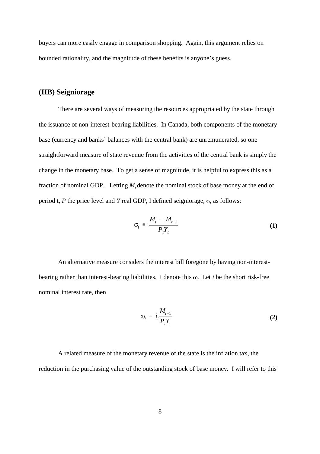buyers can more easily engage in comparison shopping. Again, this argument relies on bounded rationality, and the magnitude of these benefits is anyone's guess.

### **(IIB) Seigniorage**

There are several ways of measuring the resources appropriated by the state through the issuance of non-interest-bearing liabilities. In Canada, both components of the monetary base (currency and banks' balances with the central bank) are unremunerated, so one straightforward measure of state revenue from the activities of the central bank is simply the change in the monetary base. To get a sense of magnitude, it is helpful to express this as a fraction of nominal GDP. Letting  $M_t$ , denote the nominal stock of base money at the end of period t,  $P$  the price level and  $Y$  real GDP, I defined seigniorage,  $\sigma$ , as follows:

$$
\sigma_t = \frac{M_t - M_{t-1}}{P_t Y_t} \tag{1}
$$

An alternative measure considers the interest bill foregone by having non-interestbearing rather than interest-bearing liabilities. I denote this  $\omega$ . Let *i* be the short risk-free nominal interest rate, then

$$
\omega_t = i_t \frac{M_{t-1}}{P_t Y_t} \tag{2}
$$

A related measure of the monetary revenue of the state is the inflation tax, the reduction in the purchasing value of the outstanding stock of base money. I will refer to this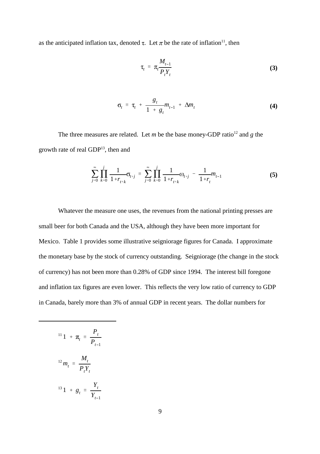as the anticipated inflation tax, denoted  $\tau$ . Let  $\pi$  be the rate of inflation<sup>11</sup>, then

$$
\tau_t = \pi_t \frac{M_{t-1}}{P_t Y_t} \tag{3}
$$

$$
\sigma_t = \tau_t + \frac{g_t}{1 + g_t} m_{t-1} + \Delta m_t \tag{4}
$$

The three measures are related. Let *m* be the base money-GDP ratio<sup>12</sup> and *g* the growth rate of real  $GDP<sup>13</sup>$ , then and

$$
\sum_{j=0}^{\infty} \prod_{k=0}^{j} \frac{1}{1 + r_{t+k}} \sigma_{t+j} \equiv \sum_{j=0}^{\infty} \prod_{k=0}^{j} \frac{1}{1 + r_{t+k}} \omega_{t+j} - \frac{1}{1 + r_{t}} m_{t-1}
$$
(5)

Whatever the measure one uses, the revenues from the national printing presses are small beer for both Canada and the USA, although they have been more important for Mexico. Table 1 provides some illustrative seigniorage figures for Canada. I approximate the monetary base by the stock of currency outstanding. Seigniorage (the change in the stock of currency) has not been more than 0.28% of GDP since 1994. The interest bill foregone and inflation tax figures are even lower. This reflects the very low ratio of currency to GDP in Canada, barely more than 3% of annual GDP in recent years. The dollar numbers for

$$
^{11} 1 + \pi_t \equiv \frac{P_t}{P_{t-1}}
$$

$$
^{12} m_t \equiv \frac{M_t}{P_t Y_t}
$$

$$
^{13} 1 + g_t \equiv \frac{Y_t}{Y_{t-1}}
$$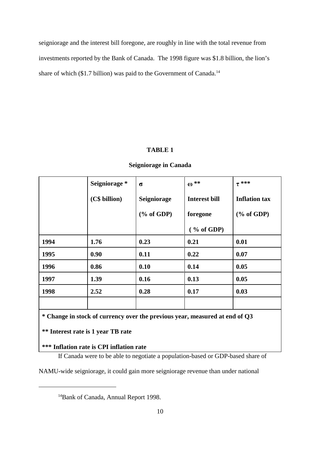seigniorage and the interest bill foregone, are roughly in line with the total revenue from investments reported by the Bank of Canada. The 1998 figure was \$1.8 billion, the lion's share of which (\$1.7 billion) was paid to the Government of Canada.<sup>14</sup>

#### **TABLE 1**

#### **Seigniorage in Canada**

|      | Seigniorage * | $\omega$ **<br>$\sigma$ |                      | $\tau$ ***           |  |  |
|------|---------------|-------------------------|----------------------|----------------------|--|--|
|      | (C\$ billion) | Seigniorage             | <b>Interest bill</b> | <b>Inflation tax</b> |  |  |
|      |               | % of GDP                | foregone             | $(\%$ of GDP)        |  |  |
|      |               |                         | ( % of GDP)          |                      |  |  |
| 1994 | 1.76          | 0.23                    | 0.21                 | 0.01                 |  |  |
| 1995 | 0.90          | 0.11                    | 0.22                 | 0.07                 |  |  |
| 1996 | 0.86          | 0.10                    | 0.14                 | 0.05                 |  |  |
| 1997 | 1.39          | 0.16                    | 0.13                 | 0.05                 |  |  |
| 1998 | 2.52          | 0.28                    | 0.17                 | 0.03                 |  |  |
|      |               |                         |                      |                      |  |  |

**\* Change in stock of currency over the previous year, measured at end of Q3**

**\*\* Interest rate is 1 year TB rate**

**\*\*\* Inflation rate is CPI inflation rate**

If Canada were to be able to negotiate a population-based or GDP-based share of

NAMU-wide seigniorage, it could gain more seigniorage revenue than under national

<sup>&</sup>lt;sup>14</sup>Bank of Canada, Annual Report 1998.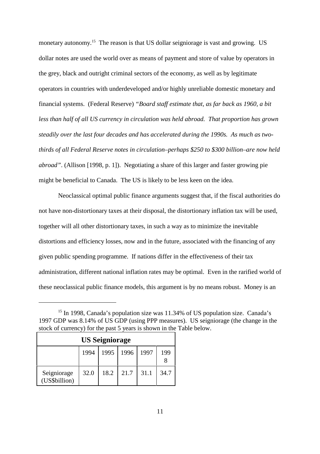monetary autonomy.<sup>15</sup> The reason is that US dollar seigniorage is vast and growing. US dollar notes are used the world over as means of payment and store of value by operators in the grey, black and outright criminal sectors of the economy, as well as by legitimate operators in countries with underdeveloped and/or highly unreliable domestic monetary and financial systems. (Federal Reserve) *"Board staff estimate that, as far back as 1960, a bit less than half of all US currency in circulation was held abroad. That proportion has grown steadily over the last four decades and has accelerated during the 1990s. As much as twothirds of all Federal Reserve notes in circulation–perhaps \$250 to \$300 billion–are now held abroad"*. (Allison [1998, p. 1]). Negotiating a share of this larger and faster growing pie might be beneficial to Canada. The US is likely to be less keen on the idea.

Neoclassical optimal public finance arguments suggest that, if the fiscal authorities do not have non-distortionary taxes at their disposal, the distortionary inflation tax will be used, together will all other distortionary taxes, in such a way as to minimize the inevitable distortions and efficiency losses, now and in the future, associated with the financing of any given public spending programme. If nations differ in the effectiveness of their tax administration, different national inflation rates may be optimal. Even in the rarified world of these neoclassical public finance models, this argument is by no means robust. Money is an

 $15$  In 1998, Canada's population size was 11.34% of US population size. Canada's 1997 GDP was 8.14% of US GDP (using PPP measures). US seigniorage (the change in the stock of currency) for the past 5 years is shown in the Table below.

| <b>US Seigniorage</b>        |      |      |      |      |      |  |  |
|------------------------------|------|------|------|------|------|--|--|
|                              | 1994 | 1995 | 1996 | 1997 | 199  |  |  |
| Seigniorage<br>(US\$billion) | 32.0 | 18.2 | 21.7 | 31.1 | 34.7 |  |  |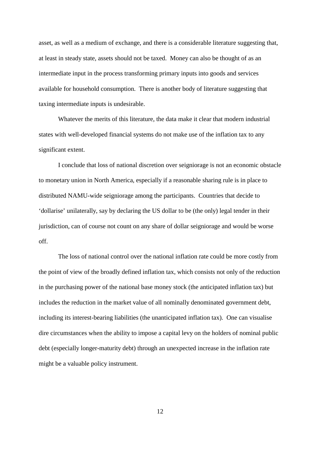asset, as well as a medium of exchange, and there is a considerable literature suggesting that, at least in steady state, assets should not be taxed. Money can also be thought of as an intermediate input in the process transforming primary inputs into goods and services available for household consumption. There is another body of literature suggesting that taxing intermediate inputs is undesirable.

Whatever the merits of this literature, the data make it clear that modern industrial states with well-developed financial systems do not make use of the inflation tax to any significant extent.

I conclude that loss of national discretion over seigniorage is not an economic obstacle to monetary union in North America, especially if a reasonable sharing rule is in place to distributed NAMU-wide seigniorage among the participants. Countries that decide to 'dollarise' unilaterally, say by declaring the US dollar to be (the only) legal tender in their jurisdiction, can of course not count on any share of dollar seigniorage and would be worse off.

The loss of national control over the national inflation rate could be more costly from the point of view of the broadly defined inflation tax, which consists not only of the reduction in the purchasing power of the national base money stock (the anticipated inflation tax) but includes the reduction in the market value of all nominally denominated government debt, including its interest-bearing liabilities (the unanticipated inflation tax). One can visualise dire circumstances when the ability to impose a capital levy on the holders of nominal public debt (especially longer-maturity debt) through an unexpected increase in the inflation rate might be a valuable policy instrument.

12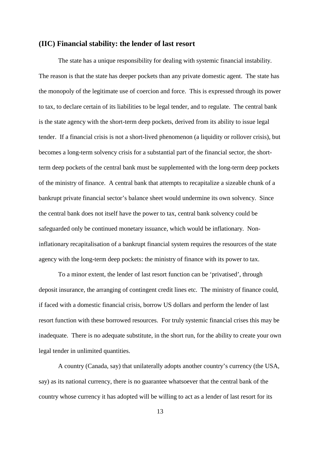#### **(IIC) Financial stability: the lender of last resort**

The state has a unique responsibility for dealing with systemic financial instability. The reason is that the state has deeper pockets than any private domestic agent. The state has the monopoly of the legitimate use of coercion and force. This is expressed through its power to tax, to declare certain of its liabilities to be legal tender, and to regulate. The central bank is the state agency with the short-term deep pockets, derived from its ability to issue legal tender. If a financial crisis is not a short-lived phenomenon (a liquidity or rollover crisis), but becomes a long-term solvency crisis for a substantial part of the financial sector, the shortterm deep pockets of the central bank must be supplemented with the long-term deep pockets of the ministry of finance. A central bank that attempts to recapitalize a sizeable chunk of a bankrupt private financial sector's balance sheet would undermine its own solvency. Since the central bank does not itself have the power to tax, central bank solvency could be safeguarded only be continued monetary issuance, which would be inflationary. Noninflationary recapitalisation of a bankrupt financial system requires the resources of the state agency with the long-term deep pockets: the ministry of finance with its power to tax.

To a minor extent, the lender of last resort function can be 'privatised', through deposit insurance, the arranging of contingent credit lines etc. The ministry of finance could, if faced with a domestic financial crisis, borrow US dollars and perform the lender of last resort function with these borrowed resources. For truly systemic financial crises this may be inadequate. There is no adequate substitute, in the short run, for the ability to create your own legal tender in unlimited quantities.

A country (Canada, say) that unilaterally adopts another country's currency (the USA, say) as its national currency, there is no guarantee whatsoever that the central bank of the country whose currency it has adopted will be willing to act as a lender of last resort for its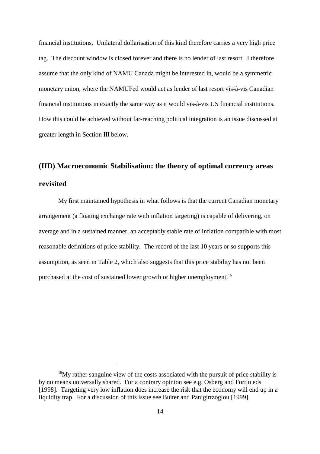financial institutions. Unilateral dollarisation of this kind therefore carries a very high price tag. The discount window is closed forever and there is no lender of last resort. I therefore assume that the only kind of NAMU Canada might be interested in, would be a symmetric monetary union, where the NAMUFed would act as lender of last resort vis-à-vis Canadian financial institutions in exactly the same way as it would vis-à-vis US financial institutions. How this could be achieved without far-reaching political integration is an issue discussed at greater length in Section III below.

# **(IID) Macroeconomic Stabilisation: the theory of optimal currency areas revisited**

My first maintained hypothesis in what follows is that the current Canadian monetary arrangement (a floating exchange rate with inflation targeting) is capable of delivering, on average and in a sustained manner, an acceptably stable rate of inflation compatible with most reasonable definitions of price stability. The record of the last 10 years or so supports this assumption, as seen in Table 2, which also suggests that this price stability has not been purchased at the cost of sustained lower growth or higher unemployment.<sup>16</sup>

 $16$ My rather sanguine view of the costs associated with the pursuit of price stability is by no means universally shared. For a contrary opinion see e.g. Osberg and Fortin eds [1998]. Targeting very low inflation does increase the risk that the economy will end up in a liquidity trap. For a discussion of this issue see Buiter and Panigirtzoglou [1999].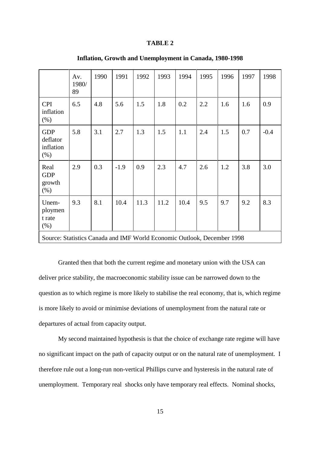#### **TABLE 2**

|                                                                         | Av.<br>1980/<br>89 | 1990 | 1991   | 1992 | 1993 | 1994 | 1995 | 1996 | 1997 | 1998   |
|-------------------------------------------------------------------------|--------------------|------|--------|------|------|------|------|------|------|--------|
| <b>CPI</b><br>inflation<br>$(\% )$                                      | 6.5                | 4.8  | 5.6    | 1.5  | 1.8  | 0.2  | 2.2  | 1.6  | 1.6  | 0.9    |
| <b>GDP</b><br>deflator<br>inflation<br>$(\% )$                          | 5.8                | 3.1  | 2.7    | 1.3  | 1.5  | 1.1  | 2.4  | 1.5  | 0.7  | $-0.4$ |
| Real<br><b>GDP</b><br>growth<br>$(\% )$                                 | 2.9                | 0.3  | $-1.9$ | 0.9  | 2.3  | 4.7  | 2.6  | 1.2  | 3.8  | 3.0    |
| Unem-<br>ploymen<br>t rate<br>(% )                                      | 9.3                | 8.1  | 10.4   | 11.3 | 11.2 | 10.4 | 9.5  | 9.7  | 9.2  | 8.3    |
| Source: Statistics Canada and IMF World Economic Outlook, December 1998 |                    |      |        |      |      |      |      |      |      |        |

#### **Inflation, Growth and Unemployment in Canada, 1980-1998**

Granted then that both the current regime and monetary union with the USA can deliver price stability, the macroeconomic stability issue can be narrowed down to the question as to which regime is more likely to stabilise the real economy, that is, which regime is more likely to avoid or minimise deviations of unemployment from the natural rate or departures of actual from capacity output.

My second maintained hypothesis is that the choice of exchange rate regime will have no significant impact on the path of capacity output or on the natural rate of unemployment. I therefore rule out a long-run non-vertical Phillips curve and hysteresis in the natural rate of unemployment. Temporary real shocks only have temporary real effects. Nominal shocks,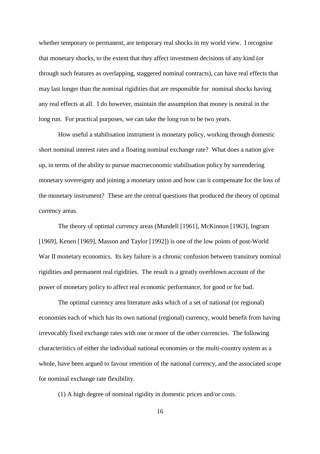whether temporary or permanent, are temporary real shocks in my world view. I recognise that monetary shocks, to the extent that they affect investment decisions of any kind (or through such features as overlapping, staggered nominal contracts), can have real effects that may last longer than the nominal rigidities that are responsible for nominal shocks having any real effects at all. I do however, maintain the assumption that money is neutral in the long run. For practical purposes, we can take the long run to be two years.

How useful a stabilisation instrument is monetary policy, working through domestic short nominal interest rates and a floating nominal exchange rate? What does a nation give up, in terms of the ability to pursue macroeconomic stabilisation policy by surrendering monetary sovereignty and joining a monetary union and how can it compensate for the loss of the monetary instrument? These are the central questions that produced the theory of optimal currency areas.

The theory of optimal currency areas (Mundell [1961], McKinnon [1963], Ingram [1969], Kenen [1969], Masson and Taylor [1992]) is one of the low points of post-World War II monetary economics. Its key failure is a chronic confusion between transitory nominal rigidities and permanent real rigidities. The result is a greatly overblown account of the power of monetary policy to affect real economic performance, for good or for bad.

The optimal currency area literature asks which of a set of national (or regional) economies each of which has its own national (regional) currency, would benefit from having irrevocably fixed exchange rates with one or more of the other currencies. The following characteristics of either the individual national economies or the multi-country system as a whole, have been argued to favour retention of the national currency, and the associated scope for nominal exchange rate flexibility.

(1) A high degree of nominal rigidity in domestic prices and/or costs.

16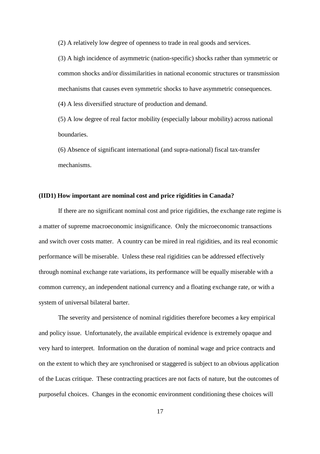(2) A relatively low degree of openness to trade in real goods and services.

(3) A high incidence of asymmetric (nation-specific) shocks rather than symmetric or common shocks and/or dissimilarities in national economic structures or transmission mechanisms that causes even symmetric shocks to have asymmetric consequences. (4) A less diversified structure of production and demand.

(5) A low degree of real factor mobility (especially labour mobility) across national boundaries.

(6) Absence of significant international (and supra-national) fiscal tax-transfer mechanisms.

#### **(IID1) How important are nominal cost and price rigidities in Canada?**

If there are no significant nominal cost and price rigidities, the exchange rate regime is a matter of supreme macroeconomic insignificance. Only the microeconomic transactions and switch over costs matter. A country can be mired in real rigidities, and its real economic performance will be miserable. Unless these real rigidities can be addressed effectively through nominal exchange rate variations, its performance will be equally miserable with a common currency, an independent national currency and a floating exchange rate, or with a system of universal bilateral barter.

The severity and persistence of nominal rigidities therefore becomes a key empirical and policy issue. Unfortunately, the available empirical evidence is extremely opaque and very hard to interpret. Information on the duration of nominal wage and price contracts and on the extent to which they are synchronised or staggered is subject to an obvious application of the Lucas critique. These contracting practices are not facts of nature, but the outcomes of purposeful choices. Changes in the economic environment conditioning these choices will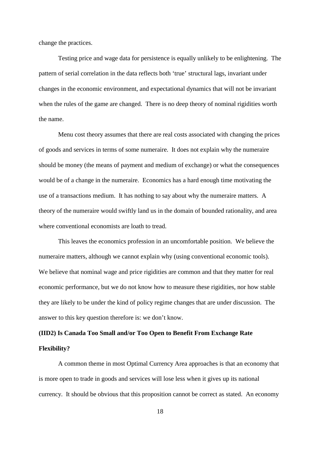change the practices.

Testing price and wage data for persistence is equally unlikely to be enlightening. The pattern of serial correlation in the data reflects both 'true' structural lags, invariant under changes in the economic environment, and expectational dynamics that will not be invariant when the rules of the game are changed. There is no deep theory of nominal rigidities worth the name.

Menu cost theory assumes that there are real costs associated with changing the prices of goods and services in terms of some numeraire. It does not explain why the numeraire should be money (the means of payment and medium of exchange) or what the consequences would be of a change in the numeraire. Economics has a hard enough time motivating the use of a transactions medium. It has nothing to say about why the numeraire matters. A theory of the numeraire would swiftly land us in the domain of bounded rationality, and area where conventional economists are loath to tread.

This leaves the economics profession in an uncomfortable position. We believe the numeraire matters, although we cannot explain why (using conventional economic tools). We believe that nominal wage and price rigidities are common and that they matter for real economic performance, but we do not know how to measure these rigidities, nor how stable they are likely to be under the kind of policy regime changes that are under discussion. The answer to this key question therefore is: we don't know.

# **(IID2) Is Canada Too Small and/or Too Open to Benefit From Exchange Rate Flexibility?**

A common theme in most Optimal Currency Area approaches is that an economy that is more open to trade in goods and services will lose less when it gives up its national currency. It should be obvious that this proposition cannot be correct as stated. An economy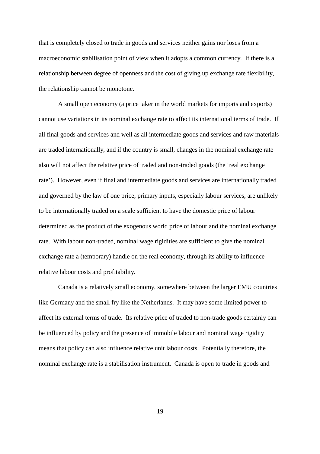that is completely closed to trade in goods and services neither gains nor loses from a macroeconomic stabilisation point of view when it adopts a common currency. If there is a relationship between degree of openness and the cost of giving up exchange rate flexibility, the relationship cannot be monotone.

A small open economy (a price taker in the world markets for imports and exports) cannot use variations in its nominal exchange rate to affect its international terms of trade. If all final goods and services and well as all intermediate goods and services and raw materials are traded internationally, and if the country is small, changes in the nominal exchange rate also will not affect the relative price of traded and non-traded goods (the 'real exchange rate'). However, even if final and intermediate goods and services are internationally traded and governed by the law of one price, primary inputs, especially labour services, are unlikely to be internationally traded on a scale sufficient to have the domestic price of labour determined as the product of the exogenous world price of labour and the nominal exchange rate. With labour non-traded, nominal wage rigidities are sufficient to give the nominal exchange rate a (temporary) handle on the real economy, through its ability to influence relative labour costs and profitability.

Canada is a relatively small economy, somewhere between the larger EMU countries like Germany and the small fry like the Netherlands. It may have some limited power to affect its external terms of trade. Its relative price of traded to non-trade goods certainly can be influenced by policy and the presence of immobile labour and nominal wage rigidity means that policy can also influence relative unit labour costs. Potentially therefore, the nominal exchange rate is a stabilisation instrument. Canada is open to trade in goods and

19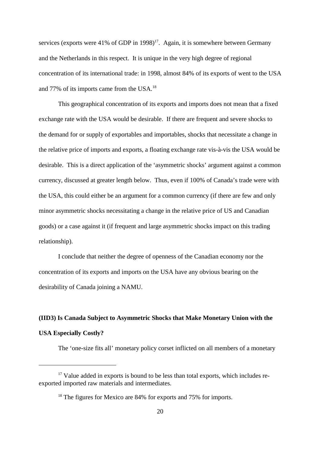services (exports were  $41\%$  of GDP in 1998)<sup>17</sup>. Again, it is somewhere between Germany and the Netherlands in this respect. It is unique in the very high degree of regional concentration of its international trade: in 1998, almost 84% of its exports of went to the USA and 77% of its imports came from the USA.18

This geographical concentration of its exports and imports does not mean that a fixed exchange rate with the USA would be desirable. If there are frequent and severe shocks to the demand for or supply of exportables and importables, shocks that necessitate a change in the relative price of imports and exports, a floating exchange rate vis-à-vis the USA would be desirable. This is a direct application of the 'asymmetric shocks' argument against a common currency, discussed at greater length below. Thus, even if 100% of Canada's trade were with the USA, this could either be an argument for a common currency (if there are few and only minor asymmetric shocks necessitating a change in the relative price of US and Canadian goods) or a case against it (if frequent and large asymmetric shocks impact on this trading relationship).

I conclude that neither the degree of openness of the Canadian economy nor the concentration of its exports and imports on the USA have any obvious bearing on the desirability of Canada joining a NAMU.

# **(IID3) Is Canada Subject to Asymmetric Shocks that Make Monetary Union with the USA Especially Costly?**

The 'one-size fits all' monetary policy corset inflicted on all members of a monetary

 $17$  Value added in exports is bound to be less than total exports, which includes reexported imported raw materials and intermediates.

<sup>&</sup>lt;sup>18</sup> The figures for Mexico are 84% for exports and 75% for imports.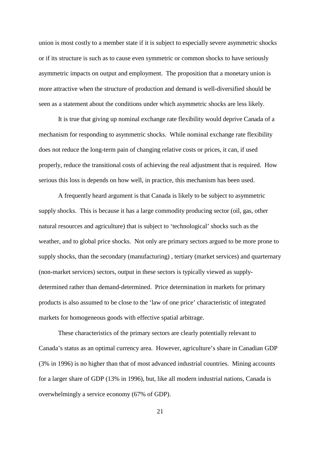union is most costly to a member state if it is subject to especially severe asymmetric shocks or if its structure is such as to cause even symmetric or common shocks to have seriously asymmetric impacts on output and employment. The proposition that a monetary union is more attractive when the structure of production and demand is well-diversified should be seen as a statement about the conditions under which asymmetric shocks are less likely.

It is true that giving up nominal exchange rate flexibility would deprive Canada of a mechanism for responding to asymmetric shocks. While nominal exchange rate flexibility does not reduce the long-term pain of changing relative costs or prices, it can, if used properly, reduce the transitional costs of achieving the real adjustment that is required. How serious this loss is depends on how well, in practice, this mechanism has been used.

A frequently heard argument is that Canada is likely to be subject to asymmetric supply shocks. This is because it has a large commodity producing sector (oil, gas, other natural resources and agriculture) that is subject to 'technological' shocks such as the weather, and to global price shocks. Not only are primary sectors argued to be more prone to supply shocks, than the secondary (manufacturing) , tertiary (market services) and quarternary (non-market services) sectors, output in these sectors is typically viewed as supplydetermined rather than demand-determined. Price determination in markets for primary products is also assumed to be close to the 'law of one price' characteristic of integrated markets for homogeneous goods with effective spatial arbitrage.

These characteristics of the primary sectors are clearly potentially relevant to Canada's status as an optimal currency area. However, agriculture's share in Canadian GDP (3% in 1996) is no higher than that of most advanced industrial countries. Mining accounts for a larger share of GDP (13% in 1996), but, like all modern industrial nations, Canada is overwhelmingly a service economy (67% of GDP).

21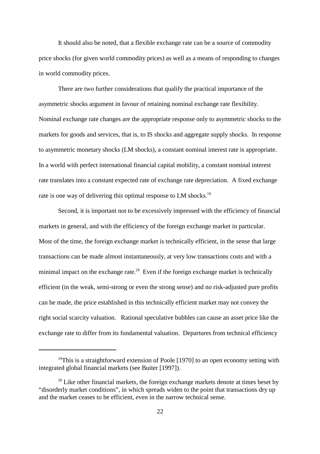It should also be noted, that a flexible exchange rate can be a source of commodity price shocks (for given world commodity prices) as well as a means of responding to changes in world commodity prices.

There are two further considerations that qualify the practical importance of the asymmetric shocks argument in favour of retaining nominal exchange rate flexibility. Nominal exchange rate changes are the appropriate response only to asymmetric shocks to the markets for goods and services, that is, to IS shocks and aggregate supply shocks. In response to asymmetric monetary shocks (LM shocks), a constant nominal interest rate is appropriate. In a world with perfect international financial capital mobility, a constant nominal interest rate translates into a constant expected rate of exchange rate depreciation. A fixed exchange rate is one way of delivering this optimal response to LM shocks.<sup>19</sup>

Second, it is important not to be excessively impressed with the efficiency of financial markets in general, and with the efficiency of the foreign exchange market in particular. Most of the time, the foreign exchange market is technically efficient, in the sense that large transactions can be made almost instantaneously, at very low transactions costs and with a minimal impact on the exchange rate.<sup>20</sup> Even if the foreign exchange market is technically efficient (in the weak, semi-strong or even the strong sense) and no risk-adjusted pure profits can be made, the price established in this technically efficient market may not convey the right social scarcity valuation. Rational speculative bubbles can cause an asset price like the exchange rate to differ from its fundamental valuation. Departures from technical efficiency

<sup>&</sup>lt;sup>19</sup>This is a straightforward extension of Poole [1970] to an open economy setting with integrated global financial markets (see Buiter [1997]).

 $20$  Like other financial markets, the foreign exchange markets denote at times beset by "disorderly market conditions", in which spreads widen to the point that transactions dry up and the market ceases to be efficient, even in the narrow technical sense.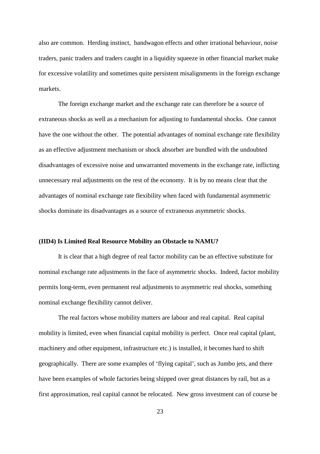also are common. Herding instinct, bandwagon effects and other irrational behaviour, noise traders, panic traders and traders caught in a liquidity squeeze in other financial market make for excessive volatility and sometimes quite persistent misalignments in the foreign exchange markets.

The foreign exchange market and the exchange rate can therefore be a source of extraneous shocks as well as a mechanism for adjusting to fundamental shocks. One cannot have the one without the other. The potential advantages of nominal exchange rate flexibility as an effective adjustment mechanism or shock absorber are bundled with the undoubted disadvantages of excessive noise and unwarranted movements in the exchange rate, inflicting unnecessary real adjustments on the rest of the economy. It is by no means clear that the advantages of nominal exchange rate flexibility when faced with fundamental asymmetric shocks dominate its disadvantages as a source of extraneous asymmetric shocks.

#### **(IID4) Is Limited Real Resource Mobility an Obstacle to NAMU?**

It is clear that a high degree of real factor mobility can be an effective substitute for nominal exchange rate adjustments in the face of asymmetric shocks. Indeed, factor mobility permits long-term, even permanent real adjustments to asymmetric real shocks, something nominal exchange flexibility cannot deliver.

The real factors whose mobility matters are labour and real capital. Real capital mobility is limited, even when financial capital mobility is perfect. Once real capital (plant, machinery and other equipment, infrastructure etc.) is installed, it becomes hard to shift geographically. There are some examples of 'flying capital', such as Jumbo jets, and there have been examples of whole factories being shipped over great distances by rail, but as a first approximation, real capital cannot be relocated. New gross investment can of course be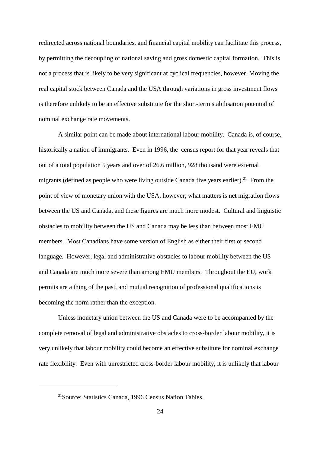redirected across national boundaries, and financial capital mobility can facilitate this process, by permitting the decoupling of national saving and gross domestic capital formation. This is not a process that is likely to be very significant at cyclical frequencies, however, Moving the real capital stock between Canada and the USA through variations in gross investment flows is therefore unlikely to be an effective substitute for the short-term stabilisation potential of nominal exchange rate movements.

A similar point can be made about international labour mobility. Canada is, of course, historically a nation of immigrants. Even in 1996, the census report for that year reveals that out of a total population 5 years and over of 26.6 million, 928 thousand were external migrants (defined as people who were living outside Canada five years earlier).<sup>21</sup> From the point of view of monetary union with the USA, however, what matters is net migration flows between the US and Canada, and these figures are much more modest. Cultural and linguistic obstacles to mobility between the US and Canada may be less than between most EMU members. Most Canadians have some version of English as either their first or second language. However, legal and administrative obstacles to labour mobility between the US and Canada are much more severe than among EMU members. Throughout the EU, work permits are a thing of the past, and mutual recognition of professional qualifications is becoming the norm rather than the exception.

Unless monetary union between the US and Canada were to be accompanied by the complete removal of legal and administrative obstacles to cross-border labour mobility, it is very unlikely that labour mobility could become an effective substitute for nominal exchange rate flexibility. Even with unrestricted cross-border labour mobility, it is unlikely that labour

<sup>21</sup>Source: Statistics Canada, 1996 Census Nation Tables.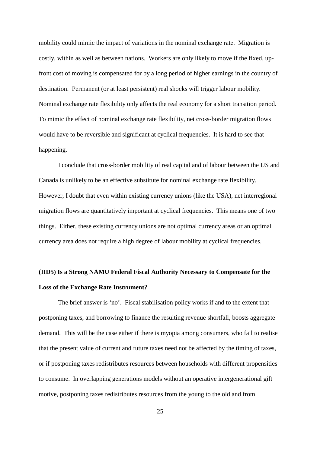mobility could mimic the impact of variations in the nominal exchange rate. Migration is costly, within as well as between nations. Workers are only likely to move if the fixed, upfront cost of moving is compensated for by a long period of higher earnings in the country of destination. Permanent (or at least persistent) real shocks will trigger labour mobility. Nominal exchange rate flexibility only affects the real economy for a short transition period. To mimic the effect of nominal exchange rate flexibility, net cross-border migration flows would have to be reversible and significant at cyclical frequencies. It is hard to see that happening.

I conclude that cross-border mobility of real capital and of labour between the US and Canada is unlikely to be an effective substitute for nominal exchange rate flexibility. However, I doubt that even within existing currency unions (like the USA), net interregional migration flows are quantitatively important at cyclical frequencies. This means one of two things. Either, these existing currency unions are not optimal currency areas or an optimal currency area does not require a high degree of labour mobility at cyclical frequencies.

# **(IID5) Is a Strong NAMU Federal Fiscal Authority Necessary to Compensate for the Loss of the Exchange Rate Instrument?**

The brief answer is 'no'. Fiscal stabilisation policy works if and to the extent that postponing taxes, and borrowing to finance the resulting revenue shortfall, boosts aggregate demand. This will be the case either if there is myopia among consumers, who fail to realise that the present value of current and future taxes need not be affected by the timing of taxes, or if postponing taxes redistributes resources between households with different propensities to consume. In overlapping generations models without an operative intergenerational gift motive, postponing taxes redistributes resources from the young to the old and from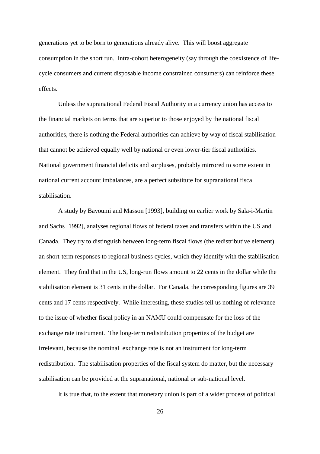generations yet to be born to generations already alive. This will boost aggregate consumption in the short run. Intra-cohort heterogeneity (say through the coexistence of lifecycle consumers and current disposable income constrained consumers) can reinforce these effects.

Unless the supranational Federal Fiscal Authority in a currency union has access to the financial markets on terms that are superior to those enjoyed by the national fiscal authorities, there is nothing the Federal authorities can achieve by way of fiscal stabilisation that cannot be achieved equally well by national or even lower-tier fiscal authorities. National government financial deficits and surpluses, probably mirrored to some extent in national current account imbalances, are a perfect substitute for supranational fiscal stabilisation.

A study by Bayoumi and Masson [1993], building on earlier work by Sala-i-Martin and Sachs [1992], analyses regional flows of federal taxes and transfers within the US and Canada. They try to distinguish between long-term fiscal flows (the redistributive element) an short-term responses to regional business cycles, which they identify with the stabilisation element. They find that in the US, long-run flows amount to 22 cents in the dollar while the stabilisation element is 31 cents in the dollar. For Canada, the corresponding figures are 39 cents and 17 cents respectively. While interesting, these studies tell us nothing of relevance to the issue of whether fiscal policy in an NAMU could compensate for the loss of the exchange rate instrument. The long-term redistribution properties of the budget are irrelevant, because the nominal exchange rate is not an instrument for long-term redistribution. The stabilisation properties of the fiscal system do matter, but the necessary stabilisation can be provided at the supranational, national or sub-national level.

It is true that, to the extent that monetary union is part of a wider process of political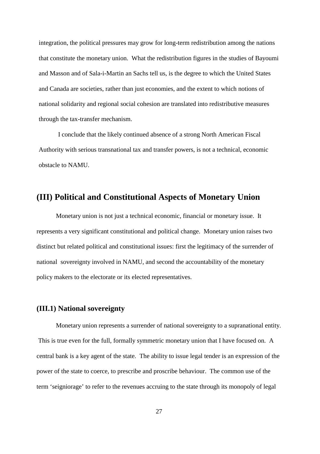integration, the political pressures may grow for long-term redistribution among the nations that constitute the monetary union. What the redistribution figures in the studies of Bayoumi and Masson and of Sala-i-Martin an Sachs tell us, is the degree to which the United States and Canada are societies, rather than just economies, and the extent to which notions of national solidarity and regional social cohesion are translated into redistributive measures through the tax-transfer mechanism.

I conclude that the likely continued absence of a strong North American Fiscal Authority with serious transnational tax and transfer powers, is not a technical, economic obstacle to NAMU.

## **(III) Political and Constitutional Aspects of Monetary Union**

Monetary union is not just a technical economic, financial or monetary issue. It represents a very significant constitutional and political change. Monetary union raises two distinct but related political and constitutional issues: first the legitimacy of the surrender of national sovereignty involved in NAMU, and second the accountability of the monetary policy makers to the electorate or its elected representatives.

### **(III.1) National sovereignty**

Monetary union represents a surrender of national sovereignty to a supranational entity. This is true even for the full, formally symmetric monetary union that I have focused on. A central bank is a key agent of the state. The ability to issue legal tender is an expression of the power of the state to coerce, to prescribe and proscribe behaviour. The common use of the term 'seigniorage' to refer to the revenues accruing to the state through its monopoly of legal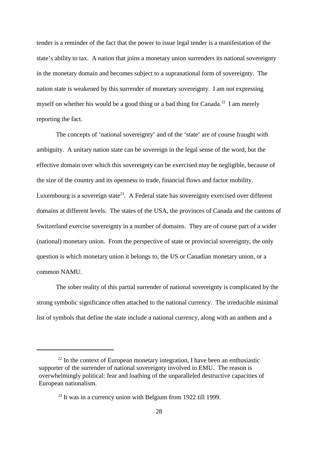tender is a reminder of the fact that the power to issue legal tender is a manifestation of the state's ability to tax. A nation that joins a monetary union surrenders its national sovereignty in the monetary domain and becomes subject to a supranational form of sovereignty. The nation state is weakened by this surrender of monetary sovereignty. I am not expressing myself on whether his would be a good thing or a bad thing for Canada.<sup>22</sup> I am merely reporting the fact.

The concepts of 'national sovereignty' and of the 'state' are of course fraught with ambiguity. A unitary nation state can be sovereign in the legal sense of the word, but the effective domain over which this sovereignty can be exercised may be negligible, because of the size of the country and its openness to trade, financial flows and factor mobility. Luxembourg is a sovereign state<sup>23</sup>. A Federal state has sovereignty exercised over different domains at different levels. The states of the USA, the provinces of Canada and the cantons of Switzerland exercise sovereignty in a number of domains. They are of course part of a wider (national) monetary union. From the perspective of state or provincial sovereignty, the only question is which monetary union it belongs to, the US or Canadian monetary union, or a common NAMU.

The sober reality of this partial surrender of national sovereignty is complicated by the strong symbolic significance often attached to the national currency. The irreducible minimal list of symbols that define the state include a national currency, along with an anthem and a

 $22$  In the context of European monetary integration, I have been an enthusiastic supporter of the surrender of national sovereignty involved in EMU. The reason is overwhelmingly political: fear and loathing of the unparalleled destructive capacities of European nationalism.

 $23$  It was in a currency union with Belgium from 1922 till 1999.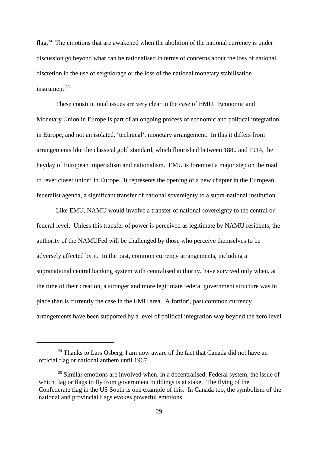flag.<sup>24</sup> The emotions that are awakened when the abolition of the national currency is under discussion go beyond what can be rationalised in terms of concerns about the loss of national discretion in the use of seigniorage or the loss of the national monetary stabilisation  $instrument<sup>25</sup>$ 

These constitutional issues are very clear in the case of EMU. Economic and Monetary Union in Europe is part of an ongoing process of economic and political integration in Europe, and not an isolated, 'technical', monetary arrangement. In this it differs from arrangements like the classical gold standard, which flourished between 1880 and 1914, the heyday of European imperialism and nationalism. EMU is foremost a major step on the road to 'ever closer union' in Europe. It represents the opening of a new chapter in the European federalist agenda, a significant transfer of national sovereignty to a supra-national institution.

Like EMU, NAMU would involve a transfer of national sovereignty to the central or federal level. Unless this transfer of power is perceived as legitimate by NAMU residents, the authority of the NAMUFed will be challenged by those who perceive themselves to be adversely affected by it. In the past, common currency arrangements, including a supranational central banking system with centralised authority, have survived only when, at the time of their creation, a stronger and more legitimate federal government structure was in place than is currently the case in the EMU area. A fortiori, past common currency arrangements have been supported by a level of political integration way beyond the zero level

 $24$  Thanks to Lars Osberg, I am now aware of the fact that Canada did not have an official flag or national anthem until 1967.

 $25$  Similar emotions are involved when, in a decentralised, Federal system, the issue of which flag or flags to fly from government buildings is at stake. The flying of the Confederate flag in the US South is one example of this. In Canada too, the symbolism of the national and provincial flags evokes powerful emotions.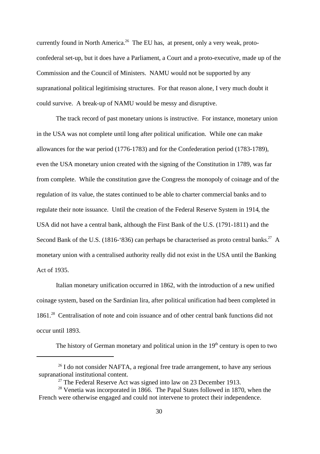currently found in North America.<sup>26</sup> The EU has, at present, only a very weak, protoconfederal set-up, but it does have a Parliament, a Court and a proto-executive, made up of the Commission and the Council of Ministers. NAMU would not be supported by any supranational political legitimising structures. For that reason alone, I very much doubt it could survive. A break-up of NAMU would be messy and disruptive.

The track record of past monetary unions is instructive. For instance, monetary union in the USA was not complete until long after political unification. While one can make allowances for the war period (1776-1783) and for the Confederation period (1783-1789), even the USA monetary union created with the signing of the Constitution in 1789, was far from complete. While the constitution gave the Congress the monopoly of coinage and of the regulation of its value, the states continued to be able to charter commercial banks and to regulate their note issuance. Until the creation of the Federal Reserve System in 1914, the USA did not have a central bank, although the First Bank of the U.S. (1791-1811) and the Second Bank of the U.S. (1816-'836) can perhaps be characterised as proto central banks.<sup>27</sup> A monetary union with a centralised authority really did not exist in the USA until the Banking Act of 1935.

Italian monetary unification occurred in 1862, with the introduction of a new unified coinage system, based on the Sardinian lira, after political unification had been completed in 1861<sup>28</sup> Centralisation of note and coin issuance and of other central bank functions did not occur until 1893.

The history of German monetary and political union in the  $19<sup>th</sup>$  century is open to two

 $26$  I do not consider NAFTA, a regional free trade arrangement, to have any serious supranational institutional content.

 $27$  The Federal Reserve Act was signed into law on 23 December 1913.

<sup>&</sup>lt;sup>28</sup> Venetia was incorporated in 1866. The Papal States followed in 1870, when the French were otherwise engaged and could not intervene to protect their independence.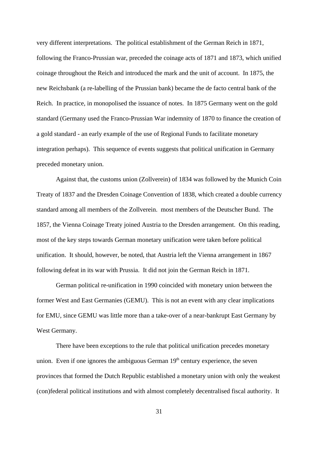very different interpretations. The political establishment of the German Reich in 1871, following the Franco-Prussian war, preceded the coinage acts of 1871 and 1873, which unified coinage throughout the Reich and introduced the mark and the unit of account. In 1875, the new Reichsbank (a re-labelling of the Prussian bank) became the de facto central bank of the Reich. In practice, in monopolised the issuance of notes. In 1875 Germany went on the gold standard (Germany used the Franco-Prussian War indemnity of 1870 to finance the creation of a gold standard - an early example of the use of Regional Funds to facilitate monetary integration perhaps). This sequence of events suggests that political unification in Germany preceded monetary union.

Against that, the customs union (Zollverein) of 1834 was followed by the Munich Coin Treaty of 1837 and the Dresden Coinage Convention of 1838, which created a double currency standard among all members of the Zollverein. most members of the Deutscher Bund. The 1857, the Vienna Coinage Treaty joined Austria to the Dresden arrangement. On this reading, most of the key steps towards German monetary unification were taken before political unification. It should, however, be noted, that Austria left the Vienna arrangement in 1867 following defeat in its war with Prussia. It did not join the German Reich in 1871.

German political re-unification in 1990 coincided with monetary union between the former West and East Germanies (GEMU). This is not an event with any clear implications for EMU, since GEMU was little more than a take-over of a near-bankrupt East Germany by West Germany.

There have been exceptions to the rule that political unification precedes monetary union. Even if one ignores the ambiguous German  $19<sup>th</sup>$  century experience, the seven provinces that formed the Dutch Republic established a monetary union with only the weakest (con)federal political institutions and with almost completely decentralised fiscal authority. It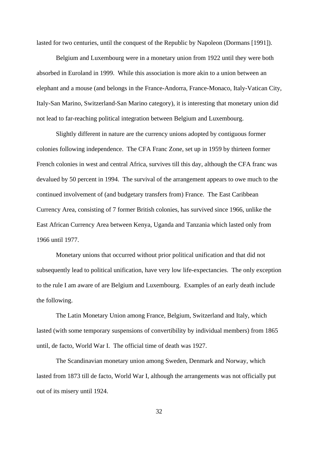lasted for two centuries, until the conquest of the Republic by Napoleon (Dormans [1991]).

Belgium and Luxembourg were in a monetary union from 1922 until they were both absorbed in Euroland in 1999. While this association is more akin to a union between an elephant and a mouse (and belongs in the France-Andorra, France-Monaco, Italy-Vatican City, Italy-San Marino, Switzerland-San Marino category), it is interesting that monetary union did not lead to far-reaching political integration between Belgium and Luxembourg.

Slightly different in nature are the currency unions adopted by contiguous former colonies following independence. The CFA Franc Zone, set up in 1959 by thirteen former French colonies in west and central Africa, survives till this day, although the CFA franc was devalued by 50 percent in 1994. The survival of the arrangement appears to owe much to the continued involvement of (and budgetary transfers from) France. The East Caribbean Currency Area, consisting of 7 former British colonies, has survived since 1966, unlike the East African Currency Area between Kenya, Uganda and Tanzania which lasted only from 1966 until 1977.

Monetary unions that occurred without prior political unification and that did not subsequently lead to political unification, have very low life-expectancies. The only exception to the rule I am aware of are Belgium and Luxembourg. Examples of an early death include the following.

The Latin Monetary Union among France, Belgium, Switzerland and Italy, which lasted (with some temporary suspensions of convertibility by individual members) from 1865 until, de facto, World War I. The official time of death was 1927.

The Scandinavian monetary union among Sweden, Denmark and Norway, which lasted from 1873 till de facto, World War I, although the arrangements was not officially put out of its misery until 1924.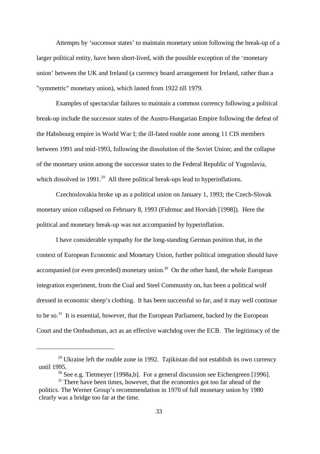Attempts by 'successor states' to maintain monetary union following the break-up of a larger political entity, have been short-lived, with the possible exception of the 'monetary union' between the UK and Ireland (a currency board arrangement for Ireland, rather than a "symmetric" monetary union), which lasted from 1922 till 1979.

Examples of spectacular failures to maintain a common currency following a political break-up include the successor states of the Austro-Hungarian Empire following the defeat of the Habsbourg empire in World War I; the ill-fated rouble zone among 11 CIS members between 1991 and mid-1993, following the dissolution of the Soviet Union; and the collapse of the monetary union among the successor states to the Federal Republic of Yugoslavia, which dissolved in 1991.<sup>29</sup> All three political break-ups lead to hyperinflations.

Czechoslovakia broke up as a political union on January 1, 1993; the Czech-Slovak monetary union collapsed on February 8, 1993 (Fidrmuc and Horváth [1998]). Here the political and monetary break-up was not accompanied by hyperinflation.

I have considerable sympathy for the long-standing German position that, in the context of European Economic and Monetary Union, further political integration should have accompanied (or even preceded) monetary union. $30$  On the other hand, the whole European integration experiment, from the Coal and Steel Community on, has been a political wolf dressed in economic sheep's clothing. It has been successful so far, and it may well continue to be so. $31$  It is essential, however, that the European Parliament, backed by the European Court and the Ombudsman, act as an effective watchdog over the ECB. The legitimacy of the

 $29$  Ukraine left the rouble zone in 1992. Tajikistan did not establish its own currency until 1995.

<sup>&</sup>lt;sup>30</sup> See e.g. Tietmeyer [1998a,b]. For a general discussion see Eichengreen [1996].

<sup>&</sup>lt;sup>31</sup> There have been times, however, that the economics got too far ahead of the politics. The Werner Group's recommendation in 1970 of full monetary union by 1980 clearly was a bridge too far at the time.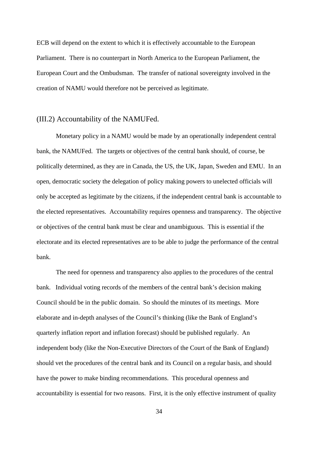ECB will depend on the extent to which it is effectively accountable to the European Parliament. There is no counterpart in North America to the European Parliament, the European Court and the Ombudsman. The transfer of national sovereignty involved in the creation of NAMU would therefore not be perceived as legitimate.

#### (III.2) Accountability of the NAMUFed.

Monetary policy in a NAMU would be made by an operationally independent central bank, the NAMUFed. The targets or objectives of the central bank should, of course, be politically determined, as they are in Canada, the US, the UK, Japan, Sweden and EMU. In an open, democratic society the delegation of policy making powers to unelected officials will only be accepted as legitimate by the citizens, if the independent central bank is accountable to the elected representatives. Accountability requires openness and transparency. The objective or objectives of the central bank must be clear and unambiguous. This is essential if the electorate and its elected representatives are to be able to judge the performance of the central bank.

The need for openness and transparency also applies to the procedures of the central bank. Individual voting records of the members of the central bank's decision making Council should be in the public domain. So should the minutes of its meetings. More elaborate and in-depth analyses of the Council's thinking (like the Bank of England's quarterly inflation report and inflation forecast) should be published regularly. An independent body (like the Non-Executive Directors of the Court of the Bank of England) should vet the procedures of the central bank and its Council on a regular basis, and should have the power to make binding recommendations. This procedural openness and accountability is essential for two reasons. First, it is the only effective instrument of quality

34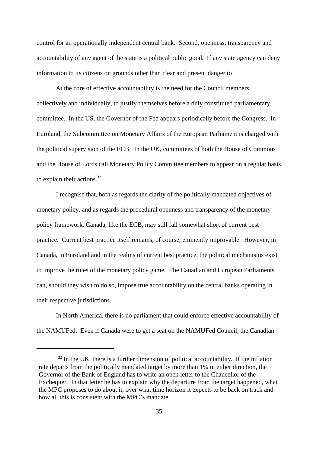control for an operationally independent central bank. Second, openness, transparency and accountability of any agent of the state is a political public good. If any state agency can deny information to its citizens on grounds other than clear and present danger to

At the core of effective accountability is the need for the Council members, collectively and individually, to justify themselves before a duly constituted parliamentary committee. In the US, the Governor of the Fed appears periodically before the Congress. In Euroland, the Subcommittee on Monetary Affairs of the European Parliament is charged with the political supervision of the ECB. In the UK, committees of both the House of Commons and the House of Lords call Monetary Policy Committee members to appear on a regular basis to explain their actions. $32$ 

I recognise that, both as regards the clarity of the politically mandated objectives of monetary policy, and as regards the procedural openness and transparency of the monetary policy framework, Canada, like the ECB, may still fall somewhat short of current best practice. Current best practice itself remains, of course, eminently improvable. However, in Canada, in Euroland and in the realms of current best practice, the political mechanisms exist to improve the rules of the monetary policy game. The Canadian and European Parliaments can, should they wish to do so, impose true accountability on the central banks operating in their respective jurisdictions.

In North America, there is no parliament that could enforce effective accountability of the NAMUFed. Even if Canada were to get a seat on the NAMUFed Council, the Canadian

 $32$  In the UK, there is a further dimension of political accountability. If the inflation rate departs from the politically mandated target by more than 1% in either direction, the Governor of the Bank of England has to write an open letter to the Chancellor of the Exchequer. In that letter he has to explain why the departure from the target happened, what the MPC proposes to do about it, over what time horizon it expects to be back on track and how all this is consistent with the MPC's mandate.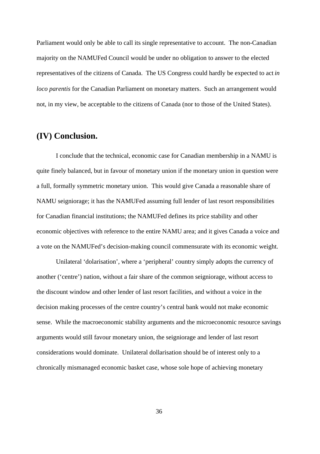Parliament would only be able to call its single representative to account. The non-Canadian majority on the NAMUFed Council would be under no obligation to answer to the elected representatives of the citizens of Canada. The US Congress could hardly be expected to act *in loco parentis* for the Canadian Parliament on monetary matters. Such an arrangement would not, in my view, be acceptable to the citizens of Canada (nor to those of the United States).

# **(IV) Conclusion.**

I conclude that the technical, economic case for Canadian membership in a NAMU is quite finely balanced, but in favour of monetary union if the monetary union in question were a full, formally symmetric monetary union. This would give Canada a reasonable share of NAMU seigniorage; it has the NAMUFed assuming full lender of last resort responsibilities for Canadian financial institutions; the NAMUFed defines its price stability and other economic objectives with reference to the entire NAMU area; and it gives Canada a voice and a vote on the NAMUFed's decision-making council commensurate with its economic weight.

Unilateral 'dolarisation', where a 'peripheral' country simply adopts the currency of another ('centre') nation, without a fair share of the common seigniorage, without access to the discount window and other lender of last resort facilities, and without a voice in the decision making processes of the centre country's central bank would not make economic sense. While the macroeconomic stability arguments and the microeconomic resource savings arguments would still favour monetary union, the seigniorage and lender of last resort considerations would dominate. Unilateral dollarisation should be of interest only to a chronically mismanaged economic basket case, whose sole hope of achieving monetary

36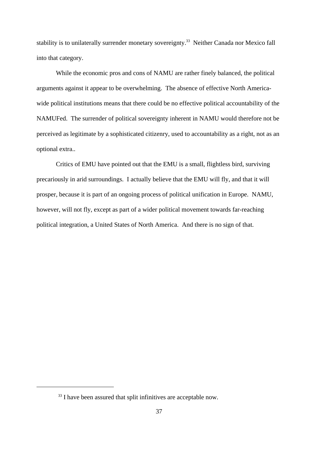stability is to unilaterally surrender monetary sovereignty.<sup>33</sup> Neither Canada nor Mexico fall into that category.

While the economic pros and cons of NAMU are rather finely balanced, the political arguments against it appear to be overwhelming. The absence of effective North Americawide political institutions means that there could be no effective political accountability of the NAMUFed. The surrender of political sovereignty inherent in NAMU would therefore not be perceived as legitimate by a sophisticated citizenry, used to accountability as a right, not as an optional extra..

Critics of EMU have pointed out that the EMU is a small, flightless bird, surviving precariously in arid surroundings. I actually believe that the EMU will fly, and that it will prosper, because it is part of an ongoing process of political unification in Europe. NAMU, however, will not fly, except as part of a wider political movement towards far-reaching political integration, a United States of North America. And there is no sign of that.

<sup>&</sup>lt;sup>33</sup> I have been assured that split infinitives are acceptable now.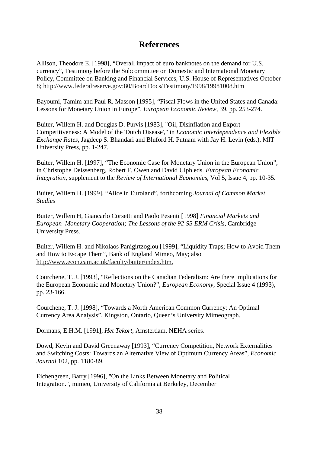## **References**

Allison, Theodore E. [1998], "Overall impact of euro banknotes on the demand for U.S. currency", Testimony before the Subcommittee on Domestic and International Monetary Policy, Committee on Banking and Financial Services, U.S. House of Representatives October 8; http://www.federalreserve.gov:80/BoardDocs/Testimony/1998/19981008.htm

Bayoumi, Tamim and Paul R. Masson [1995], "Fiscal Flows in the United States and Canada: Lessons for Monetary Union in Europe", *European Economic Review*, 39, pp. 253-274.

Buiter, Willem H. and Douglas D. Purvis [1983], "Oil, Disinflation and Export Competitiveness: A Model of the 'Dutch Disease'," in *Economic Interdependence and Flexible Exchange Rates*, Jagdeep S. Bhandari and Bluford H. Putnam with Jay H. Levin (eds.), MIT University Press, pp. 1-247.

Buiter, Willem H. [1997], "The Economic Case for Monetary Union in the European Union", in Christophe Deissenberg, Robert F. Owen and David Ulph eds. *European Economic Integration*, supplement to the *Review of International Economics*, Vol 5, Issue 4, pp. 10-35.

Buiter, Willem H. [1999], "Alice in Euroland", forthcoming *Journal of Common Market Studies*

Buiter, Willem H, Giancarlo Corsetti and Paolo Pesenti [1998] *Financial Markets and European Monetary Cooperation; The Lessons of the 92-93 ERM Crisis,* Cambridge University Press.

Buiter, Willem H. and Nikolaos Panigirtzoglou [1999], "Liquidity Traps; How to Avoid Them and How to Escape Them", Bank of England Mimeo, May; also http://www.econ.cam.ac.uk/faculty/buiter/index.htm.

Courchene, T. J. [1993], "Reflections on the Canadian Federalism: Are there Implications for the European Economic and Monetary Union?", *European Economy*, Special Issue 4 (1993), pp. 23-166.

Courchene, T. J. [1998], "Towards a North American Common Currency: An Optimal Currency Area Analysis", Kingston, Ontario, Queen's University Mimeograph.

Dormans, E.H.M. [1991], *Het Tekort,* Amsterdam, NEHA series.

Dowd, Kevin and David Greenaway [1993], "Currency Competition, Network Externalities and Switching Costs: Towards an Alternative View of Optimum Currency Areas", *Economic Journal* 102, pp. 1180-89.

Eichengreen, Barry [1996], "On the Links Between Monetary and Political Integration.", mimeo, University of California at Berkeley, December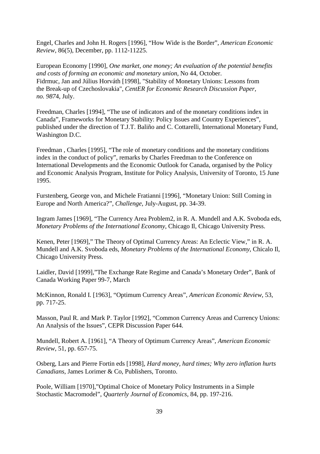Engel, Charles and John H. Rogers [1996], "How Wide is the Border", *American Economic Review*, 86(5), December, pp. 1112-11225.

European Economy [1990], *One market, one money; An evaluation of the potential benefits and costs of forming an economic and monetary union*, No 44, October. Fidrmuc, Jan and Július Horváth [1998], "Stability of Monetary Unions: Lessons from the Break-up of Czechoslovakia", *CentER for Economic Research Discussion Paper, no. 987*4, July.

Freedman, Charles [1994], "The use of indicators and of the monetary conditions index in Canada", Frameworks for Monetary Stability: Policy Issues and Country Experiences", published under the direction of T.J.T. Baliño and C. Cottarelli, International Monetary Fund, Washington D.C.

Freedman , Charles [1995], "The role of monetary conditions and the monetary conditions index in the conduct of policy", remarks by Charles Freedman to the Conference on International Developments and the Economic Outlook for Canada, organised by the Policy and Economic Analysis Program, Institute for Policy Analysis, University of Toronto, 15 June 1995.

Furstenberg, George von, and Michele Fratianni [1996], "Monetary Union: Still Coming in Europe and North America?", *Challenge*, July-August, pp. 34-39.

Ingram James [1969], "The Currency Area Problem2, in R. A. Mundell and A.K. Svoboda eds, *Monetary Problems of the International Economy*, Chicago Il, Chicago University Press.

Kenen, Peter [1969]," The Theory of Optimal Currency Areas: An Eclectic View," in R. A. Mundell and A.K. Svoboda eds, *Monetary Problems of the International Economy*, Chicalo Il, Chicago University Press.

Laidler, David [1999],"The Exchange Rate Regime and Canada's Monetary Order", Bank of Canada Working Paper 99-7, March

McKinnon, Ronald I. [1963], "Optimum Currency Areas", *American Economic Review*, 53, pp. 717-25.

Masson, Paul R. and Mark P. Taylor [1992], "Common Currency Areas and Currency Unions: An Analysis of the Issues", CEPR Discussion Paper 644.

Mundell, Robert A. [1961], "A Theory of Optimum Currency Areas", *American Economic Review*, 51, pp. 657-75.

Osberg, Lars and Pierre Fortin eds [1998], *Hard money, hard times; Why zero inflation hurts Canadians*, James Lorimer & Co, Publishers, Toronto.

Poole, William [1970],"Optimal Choice of Monetary Policy Instruments in a Simple Stochastic Macromodel", *Quarterly Journal of Economics*, 84, pp. 197-216.